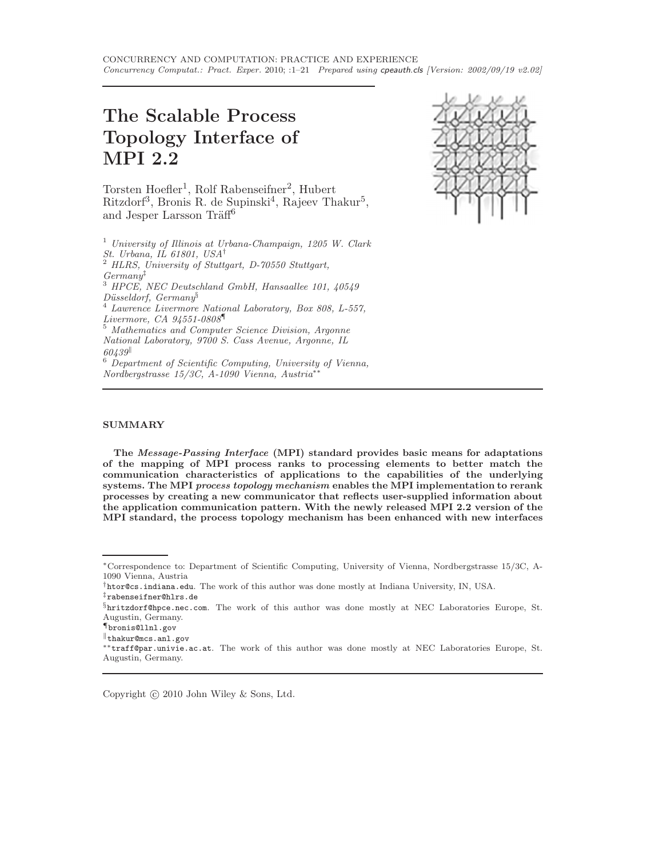CONCURRENCY AND COMPUTATION: PRACTICE AND EXPERIENCE Concurrency Computat.: Pract. Exper. 2010; :1–21 Prepared using cpeauth.cls [Version: 2002/09/19 v2.02]

# The Scalable Process Topology Interface of MPI 2.2

Torsten Hoefler<sup>1</sup>, Rolf Rabenseifner<sup>2</sup>, Hubert Ritzdorf<sup>3</sup>, Bronis R. de Supinski<sup>4</sup>, Rajeev Thakur<sup>5</sup>, and Jesper Larsson Träff<sup>6</sup>

<sup>1</sup> University of Illinois at Urbana-Champaign, 1205 W. Clark St. Urbana, IL 61801, USA†  $^{2}$  HLRS, University of Stuttgart, D-70550 Stuttgart, Germany‡ <sup>3</sup> HPCE, NEC Deutschland GmbH, Hansaallee 101, 40549  $Düsseldorf, Germany<sup>§</sup>$ <sup>4</sup> Lawrence Livermore National Laboratory, Box 808, L-557, Livermore, CA  $94551 - 0808$ <sup>''</sup> <sup>5</sup> Mathematics and Computer Science Division, Argonne National Laboratory, 9700 S. Cass Avenue, Argonne, IL

<sup>6</sup> Department of Scientific Computing, University of Vienna,

Nordbergstrasse 15/3C, A-1090 Vienna, Austria∗∗

# SUMMARY

60439<sup>||</sup>

The Message-Passing Interface (MPI) standard provides basic means for adaptations of the mapping of MPI process ranks to processing elements to better match the communication characteristics of applications to the capabilities of the underlying systems. The MPI process topology mechanism enables the MPI implementation to rerank processes by creating a new communicator that reflects user-supplied information about the application communication pattern. With the newly released MPI 2.2 version of the MPI standard, the process topology mechanism has been enhanced with new interfaces

¶bronis@llnl.gov

Copyright  $\odot$  2010 John Wiley & Sons, Ltd.

<sup>∗</sup>Correspondence to: Department of Scientific Computing, University of Vienna, Nordbergstrasse 15/3C, A-1090 Vienna, Austria

<sup>†</sup>htor@cs.indiana.edu. The work of this author was done mostly at Indiana University, IN, USA.

<sup>‡</sup>rabenseifner@hlrs.de

<sup>§</sup>hritzdorf@hpce.nec.com. The work of this author was done mostly at NEC Laboratories Europe, St. Augustin, Germany.

 $\mathbb{H}_{\text{thakur@mcs.}}$ anl.gov

<sup>∗∗</sup>traff@par.univie.ac.at. The work of this author was done mostly at NEC Laboratories Europe, St. Augustin, Germany.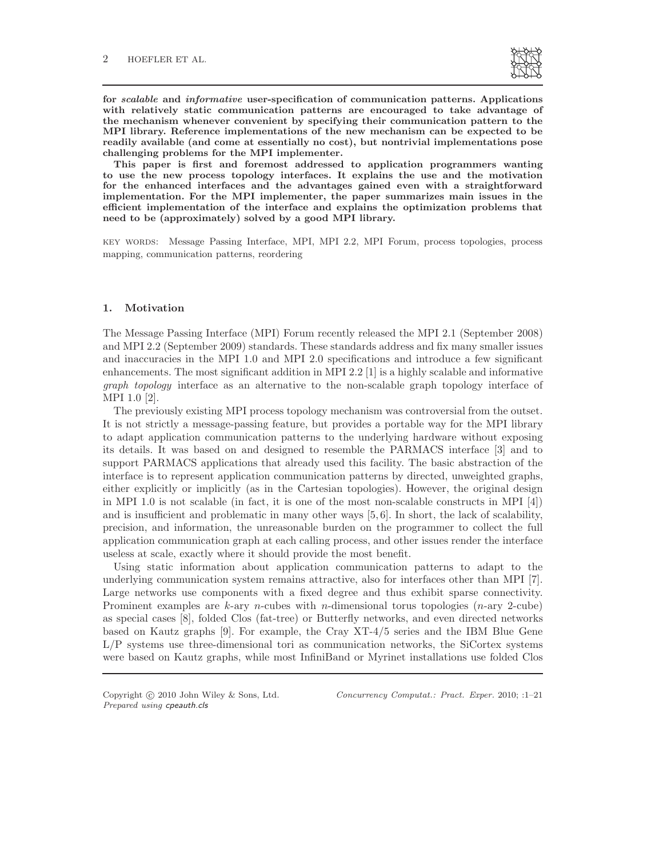

for scalable and informative user-specification of communication patterns. Applications with relatively static communication patterns are encouraged to take advantage of the mechanism whenever convenient by specifying their communication pattern to the MPI library. Reference implementations of the new mechanism can be expected to be readily available (and come at essentially no cost), but nontrivial implementations pose challenging problems for the MPI implementer.

This paper is first and foremost addressed to application programmers wanting to use the new process topology interfaces. It explains the use and the motivation for the enhanced interfaces and the advantages gained even with a straightforward implementation. For the MPI implementer, the paper summarizes main issues in the efficient implementation of the interface and explains the optimization problems that need to be (approximately) solved by a good MPI library.

key words: Message Passing Interface, MPI, MPI 2.2, MPI Forum, process topologies, process mapping, communication patterns, reordering

#### 1. Motivation

The Message Passing Interface (MPI) Forum recently released the MPI 2.1 (September 2008) and MPI 2.2 (September 2009) standards. These standards address and fix many smaller issues and inaccuracies in the MPI 1.0 and MPI 2.0 specifications and introduce a few significant enhancements. The most significant addition in MPI 2.2 [1] is a highly scalable and informative graph topology interface as an alternative to the non-scalable graph topology interface of MPI 1.0 [2].

The previously existing MPI process topology mechanism was controversial from the outset. It is not strictly a message-passing feature, but provides a portable way for the MPI library to adapt application communication patterns to the underlying hardware without exposing its details. It was based on and designed to resemble the PARMACS interface [3] and to support PARMACS applications that already used this facility. The basic abstraction of the interface is to represent application communication patterns by directed, unweighted graphs, either explicitly or implicitly (as in the Cartesian topologies). However, the original design in MPI 1.0 is not scalable (in fact, it is one of the most non-scalable constructs in MPI [4]) and is insufficient and problematic in many other ways [5, 6]. In short, the lack of scalability, precision, and information, the unreasonable burden on the programmer to collect the full application communication graph at each calling process, and other issues render the interface useless at scale, exactly where it should provide the most benefit.

Using static information about application communication patterns to adapt to the underlying communication system remains attractive, also for interfaces other than MPI [7]. Large networks use components with a fixed degree and thus exhibit sparse connectivity. Prominent examples are  $k$ -ary n-cubes with n-dimensional torus topologies (n-ary 2-cube) as special cases [8], folded Clos (fat-tree) or Butterfly networks, and even directed networks based on Kautz graphs [9]. For example, the Cray XT-4/5 series and the IBM Blue Gene L/P systems use three-dimensional tori as communication networks, the SiCortex systems were based on Kautz graphs, while most InfiniBand or Myrinet installations use folded Clos

Prepared using cpeauth.cls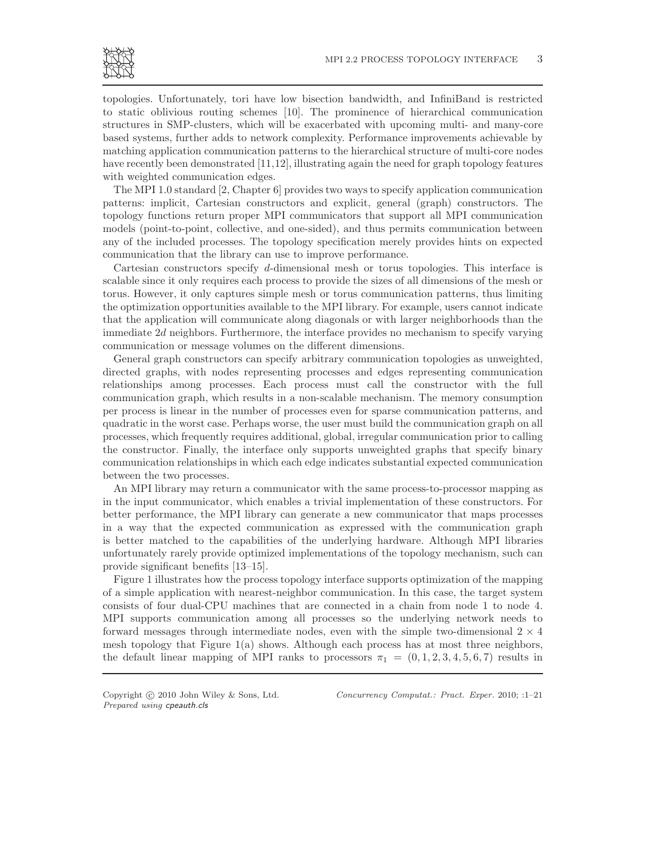

topologies. Unfortunately, tori have low bisection bandwidth, and InfiniBand is restricted to static oblivious routing schemes [10]. The prominence of hierarchical communication structures in SMP-clusters, which will be exacerbated with upcoming multi- and many-core based systems, further adds to network complexity. Performance improvements achievable by matching application communication patterns to the hierarchical structure of multi-core nodes have recently been demonstrated [11,12], illustrating again the need for graph topology features with weighted communication edges.

The MPI 1.0 standard [2, Chapter 6] provides two ways to specify application communication patterns: implicit, Cartesian constructors and explicit, general (graph) constructors. The topology functions return proper MPI communicators that support all MPI communication models (point-to-point, collective, and one-sided), and thus permits communication between any of the included processes. The topology specification merely provides hints on expected communication that the library can use to improve performance.

Cartesian constructors specify d-dimensional mesh or torus topologies. This interface is scalable since it only requires each process to provide the sizes of all dimensions of the mesh or torus. However, it only captures simple mesh or torus communication patterns, thus limiting the optimization opportunities available to the MPI library. For example, users cannot indicate that the application will communicate along diagonals or with larger neighborhoods than the immediate  $2d$  neighbors. Furthermore, the interface provides no mechanism to specify varying communication or message volumes on the different dimensions.

General graph constructors can specify arbitrary communication topologies as unweighted, directed graphs, with nodes representing processes and edges representing communication relationships among processes. Each process must call the constructor with the full communication graph, which results in a non-scalable mechanism. The memory consumption per process is linear in the number of processes even for sparse communication patterns, and quadratic in the worst case. Perhaps worse, the user must build the communication graph on all processes, which frequently requires additional, global, irregular communication prior to calling the constructor. Finally, the interface only supports unweighted graphs that specify binary communication relationships in which each edge indicates substantial expected communication between the two processes.

An MPI library may return a communicator with the same process-to-processor mapping as in the input communicator, which enables a trivial implementation of these constructors. For better performance, the MPI library can generate a new communicator that maps processes in a way that the expected communication as expressed with the communication graph is better matched to the capabilities of the underlying hardware. Although MPI libraries unfortunately rarely provide optimized implementations of the topology mechanism, such can provide significant benefits [13–15].

Figure 1 illustrates how the process topology interface supports optimization of the mapping of a simple application with nearest-neighbor communication. In this case, the target system consists of four dual-CPU machines that are connected in a chain from node 1 to node 4. MPI supports communication among all processes so the underlying network needs to forward messages through intermediate nodes, even with the simple two-dimensional  $2 \times 4$ mesh topology that Figure 1(a) shows. Although each process has at most three neighbors, the default linear mapping of MPI ranks to processors  $\pi_1 = (0, 1, 2, 3, 4, 5, 6, 7)$  results in

Prepared using cpeauth.cls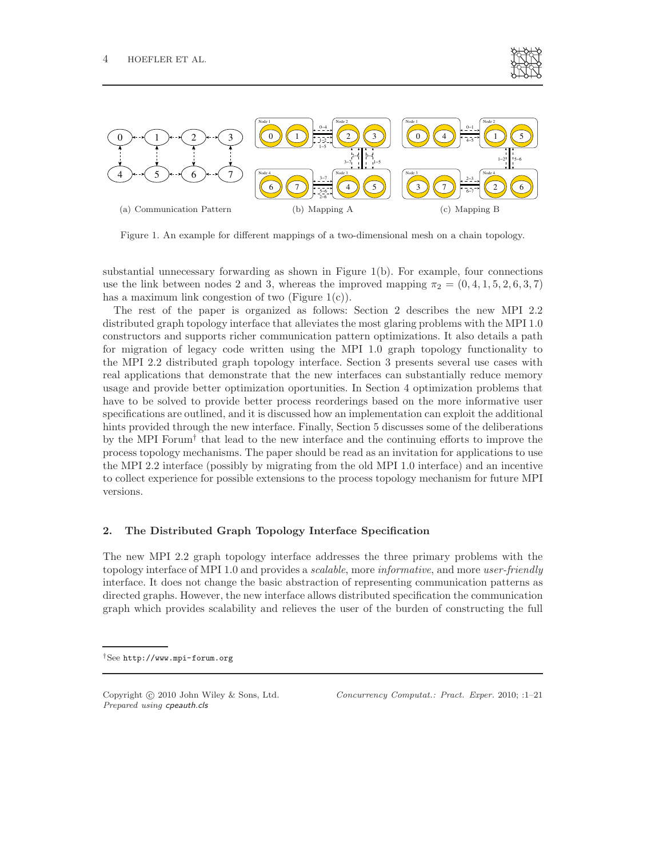

Figure 1. An example for different mappings of a two-dimensional mesh on a chain topology.

substantial unnecessary forwarding as shown in Figure  $1(b)$ . For example, four connections use the link between nodes 2 and 3, whereas the improved mapping  $\pi_2 = (0, 4, 1, 5, 2, 6, 3, 7)$ has a maximum link congestion of two (Figure  $1(c)$ ).

The rest of the paper is organized as follows: Section 2 describes the new MPI 2.2 distributed graph topology interface that alleviates the most glaring problems with the MPI 1.0 constructors and supports richer communication pattern optimizations. It also details a path for migration of legacy code written using the MPI 1.0 graph topology functionality to the MPI 2.2 distributed graph topology interface. Section 3 presents several use cases with real applications that demonstrate that the new interfaces can substantially reduce memory usage and provide better optimization oportunities. In Section 4 optimization problems that have to be solved to provide better process reorderings based on the more informative user specifications are outlined, and it is discussed how an implementation can exploit the additional hints provided through the new interface. Finally, Section 5 discusses some of the deliberations by the MPI Forum† that lead to the new interface and the continuing efforts to improve the process topology mechanisms. The paper should be read as an invitation for applications to use the MPI 2.2 interface (possibly by migrating from the old MPI 1.0 interface) and an incentive to collect experience for possible extensions to the process topology mechanism for future MPI versions.

#### 2. The Distributed Graph Topology Interface Specification

The new MPI 2.2 graph topology interface addresses the three primary problems with the topology interface of MPI 1.0 and provides a *scalable*, more *informative*, and more *user-friendly* interface. It does not change the basic abstraction of representing communication patterns as directed graphs. However, the new interface allows distributed specification the communication graph which provides scalability and relieves the user of the burden of constructing the full

<sup>†</sup>See http://www.mpi-forum.org

Prepared using cpeauth.cls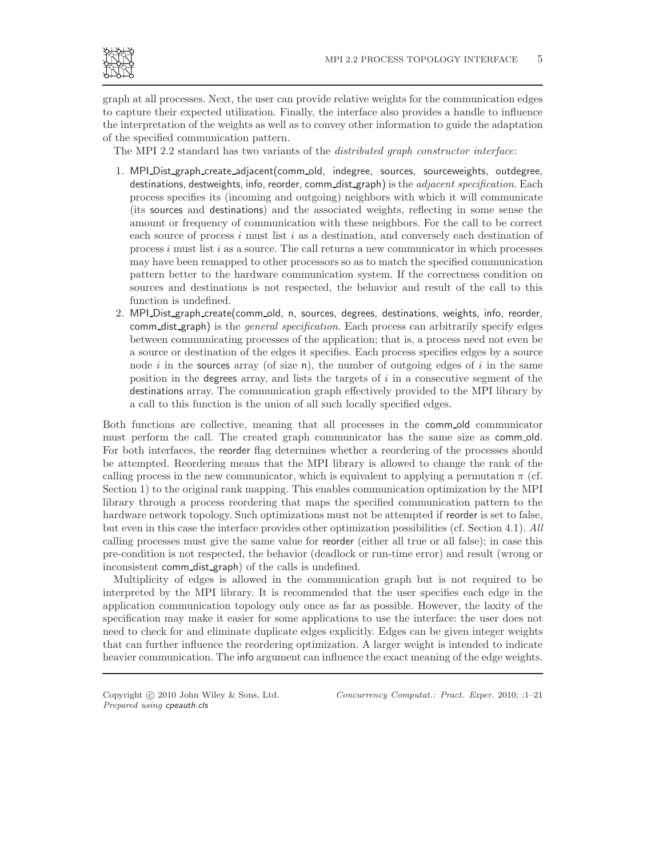

graph at all processes. Next, the user can provide relative weights for the communication edges to capture their expected utilization. Finally, the interface also provides a handle to influence the interpretation of the weights as well as to convey other information to guide the adaptation of the specified communication pattern.

The MPI 2.2 standard has two variants of the distributed graph constructor interface:

- 1. MPI\_Dist\_graph\_create\_adjacent(comm\_old, indegree, sources, sourceweights, outdegree, destinations, destweights, info, reorder, comm\_dist\_graph) is the *adjacent specification*. Each process specifies its (incoming and outgoing) neighbors with which it will communicate (its sources and destinations) and the associated weights, reflecting in some sense the amount or frequency of communication with these neighbors. For the call to be correct each source of process  $i$  must list  $i$  as a destination, and conversely each destination of process  $i$  must list  $i$  as a source. The call returns a new communicator in which processes may have been remapped to other processors so as to match the specified communication pattern better to the hardware communication system. If the correctness condition on sources and destinations is not respected, the behavior and result of the call to this function is undefined.
- 2. MPI\_Dist\_graph\_create(comm\_old, n, sources, degrees, destinations, weights, info, reorder, comm\_dist\_graph) is the *general specification*. Each process can arbitrarily specify edges between communicating processes of the application; that is, a process need not even be a source or destination of the edges it specifies. Each process specifies edges by a source node i in the sources array (of size n), the number of outgoing edges of i in the same position in the degrees array, and lists the targets of  $i$  in a consecutive segment of the destinations array. The communication graph effectively provided to the MPI library by a call to this function is the union of all such locally specified edges.

Both functions are collective, meaning that all processes in the comm-old communicator must perform the call. The created graph communicator has the same size as comm old. For both interfaces, the reorder flag determines whether a reordering of the processes should be attempted. Reordering means that the MPI library is allowed to change the rank of the calling process in the new communicator, which is equivalent to applying a permutation  $\pi$  (cf. Section 1) to the original rank mapping. This enables communication optimization by the MPI library through a process reordering that maps the specified communication pattern to the hardware network topology. Such optimizations must not be attempted if reorder is set to false, but even in this case the interface provides other optimization possibilities (cf. Section 4.1). All calling processes must give the same value for reorder (either all true or all false); in case this pre-condition is not respected, the behavior (deadlock or run-time error) and result (wrong or inconsistent comm dist graph) of the calls is undefined.

Multiplicity of edges is allowed in the communication graph but is not required to be interpreted by the MPI library. It is recommended that the user specifies each edge in the application communication topology only once as far as possible. However, the laxity of the specification may make it easier for some applications to use the interface: the user does not need to check for and eliminate duplicate edges explicitly. Edges can be given integer weights that can further influence the reordering optimization. A larger weight is intended to indicate heavier communication. The info argument can influence the exact meaning of the edge weights.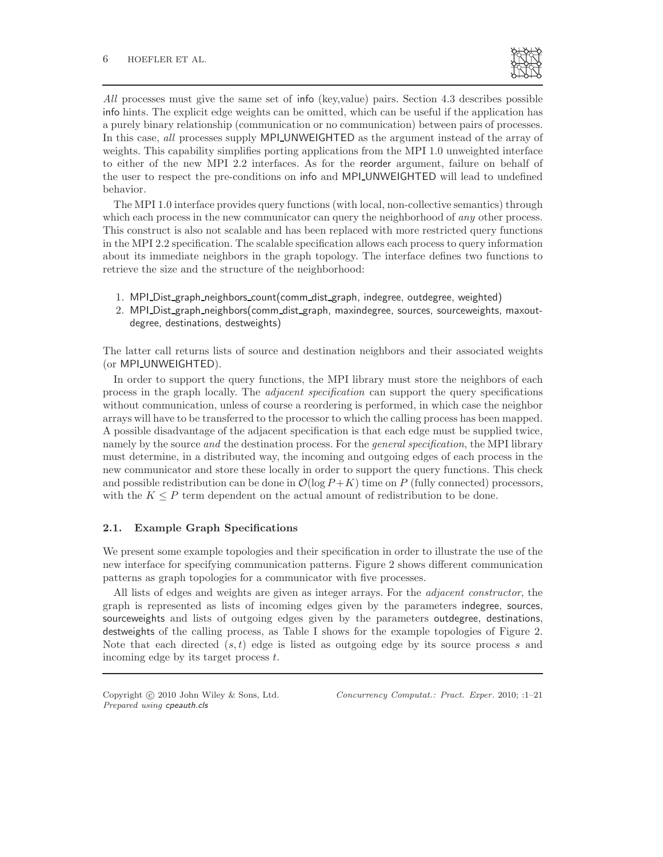

All processes must give the same set of info (key,value) pairs. Section 4.3 describes possible info hints. The explicit edge weights can be omitted, which can be useful if the application has a purely binary relationship (communication or no communication) between pairs of processes. In this case, all processes supply MPI UNWEIGHTED as the argument instead of the array of weights. This capability simplifies porting applications from the MPI 1.0 unweighted interface to either of the new MPI 2.2 interfaces. As for the reorder argument, failure on behalf of the user to respect the pre-conditions on info and MPI UNWEIGHTED will lead to undefined behavior.

The MPI 1.0 interface provides query functions (with local, non-collective semantics) through which each process in the new communicator can query the neighborhood of *any* other process. This construct is also not scalable and has been replaced with more restricted query functions in the MPI 2.2 specification. The scalable specification allows each process to query information about its immediate neighbors in the graph topology. The interface defines two functions to retrieve the size and the structure of the neighborhood:

- 1. MPI\_Dist\_graph\_neighbors\_count(comm\_dist\_graph, indegree, outdegree, weighted)
- 2. MPI Dist graph neighbors(comm dist graph, maxindegree, sources, sourceweights, maxoutdegree, destinations, destweights)

The latter call returns lists of source and destination neighbors and their associated weights (or MPI\_UNWEIGHTED).

In order to support the query functions, the MPI library must store the neighbors of each process in the graph locally. The adjacent specification can support the query specifications without communication, unless of course a reordering is performed, in which case the neighbor arrays will have to be transferred to the processor to which the calling process has been mapped. A possible disadvantage of the adjacent specification is that each edge must be supplied twice, namely by the source and the destination process. For the *general specification*, the MPI library must determine, in a distributed way, the incoming and outgoing edges of each process in the new communicator and store these locally in order to support the query functions. This check and possible redistribution can be done in  $\mathcal{O}(\log P + K)$  time on P (fully connected) processors, with the  $K \leq P$  term dependent on the actual amount of redistribution to be done.

#### 2.1. Example Graph Specifications

We present some example topologies and their specification in order to illustrate the use of the new interface for specifying communication patterns. Figure 2 shows different communication patterns as graph topologies for a communicator with five processes.

All lists of edges and weights are given as integer arrays. For the adjacent constructor, the graph is represented as lists of incoming edges given by the parameters indegree, sources, sourceweights and lists of outgoing edges given by the parameters outdegree, destinations, destweights of the calling process, as Table I shows for the example topologies of Figure 2. Note that each directed  $(s, t)$  edge is listed as outgoing edge by its source process s and incoming edge by its target process t.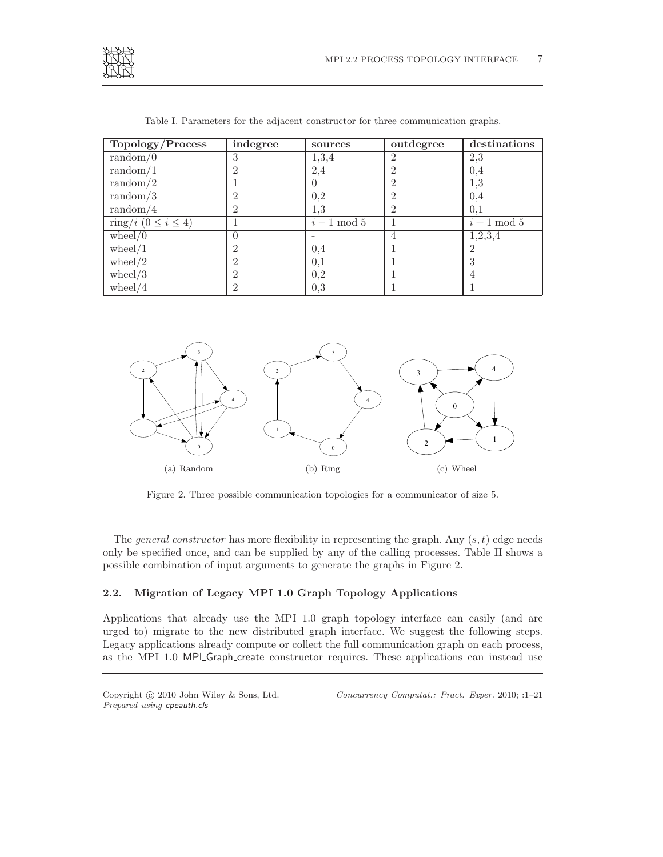

| Topology/Process           | indegree | sources      | outdegree | destinations |
|----------------------------|----------|--------------|-----------|--------------|
| random/ $\sqrt{0}$         | 3        | 1,3,4        | 2         | 2,3          |
| random $/1$                |          | 2,4          |           | 0.4          |
| random/2                   |          |              |           | 1.3          |
| random/ $3$                |          | 0.2          |           | 0.4          |
| random/ $4$                |          | 1.3          |           | 0.1          |
| ring/i $(0 \leq i \leq 4)$ |          | $i-1 \mod 5$ |           | $i+1 \mod 5$ |
| wheel/0                    | $\cup$   |              | 4         | 1,2,3,4      |
| wheel/1                    | ິ        | 0.4          |           |              |
| wheel/2                    | ິ        | 0,1          |           |              |
| wheel/3                    | ິ        | 0,2          |           |              |
| wheel/4                    |          | 0,3          |           |              |

Table I. Parameters for the adjacent constructor for three communication graphs.



Figure 2. Three possible communication topologies for a communicator of size 5.

The *general constructor* has more flexibility in representing the graph. Any  $(s, t)$  edge needs only be specified once, and can be supplied by any of the calling processes. Table II shows a possible combination of input arguments to generate the graphs in Figure 2.

#### 2.2. Migration of Legacy MPI 1.0 Graph Topology Applications

Applications that already use the MPI 1.0 graph topology interface can easily (and are urged to) migrate to the new distributed graph interface. We suggest the following steps. Legacy applications already compute or collect the full communication graph on each process, as the MPI 1.0 MPI Graph create constructor requires. These applications can instead use

Prepared using cpeauth.cls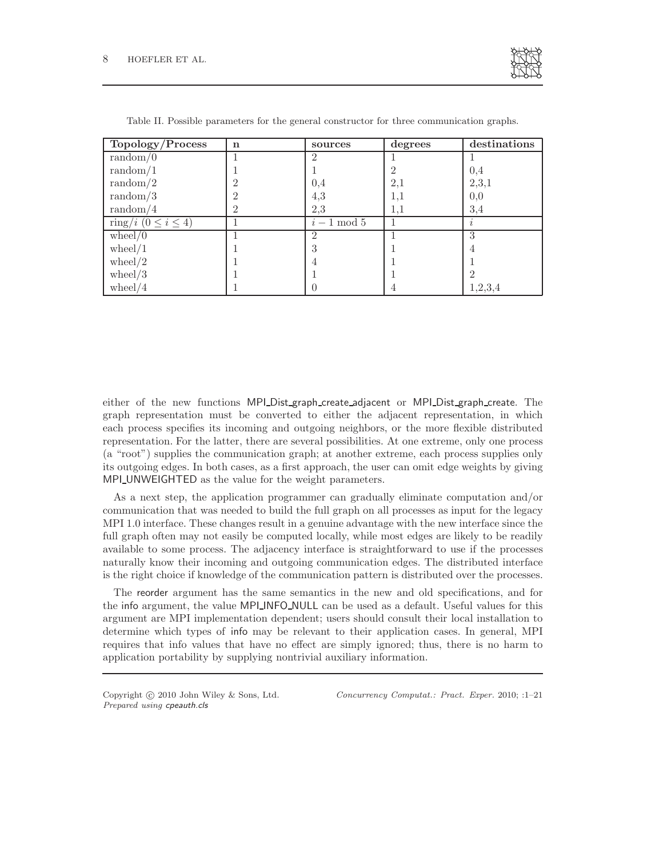

| Topology/Process         | $\mathbf n$ | sources        | degrees | destinations |
|--------------------------|-------------|----------------|---------|--------------|
| random/ $\sqrt{0}$       |             | $\mathfrak{D}$ |         |              |
| random $/1$              |             |                |         | 0.4          |
| random/2                 | റ           | 0.4            | 2,1     | 2,3,1        |
| random/3                 |             | 4,3            | 1,1     | 0.0          |
| random/ $4$              | 2           | 2,3            | $1.1\,$ | 3.4          |
| ring/i $(0 \le i \le 4)$ |             | $i-1 \mod 5$   |         |              |
| wheel/ $\sqrt{0}$        |             | $\mathfrak{D}$ |         | 3            |
| wheel/1                  |             | 3              |         |              |
| wheel/2                  |             |                |         |              |
| wheel/3                  |             |                |         |              |
| wheel/4                  |             |                |         | 1,2,3,4      |

Table II. Possible parameters for the general constructor for three communication graphs.

either of the new functions MPI Dist graph create adjacent or MPI Dist graph create. The graph representation must be converted to either the adjacent representation, in which each process specifies its incoming and outgoing neighbors, or the more flexible distributed representation. For the latter, there are several possibilities. At one extreme, only one process (a "root") supplies the communication graph; at another extreme, each process supplies only its outgoing edges. In both cases, as a first approach, the user can omit edge weights by giving MPI\_UNWEIGHTED as the value for the weight parameters.

As a next step, the application programmer can gradually eliminate computation and/or communication that was needed to build the full graph on all processes as input for the legacy MPI 1.0 interface. These changes result in a genuine advantage with the new interface since the full graph often may not easily be computed locally, while most edges are likely to be readily available to some process. The adjacency interface is straightforward to use if the processes naturally know their incoming and outgoing communication edges. The distributed interface is the right choice if knowledge of the communication pattern is distributed over the processes.

The reorder argument has the same semantics in the new and old specifications, and for the info argument, the value MPI INFO NULL can be used as a default. Useful values for this argument are MPI implementation dependent; users should consult their local installation to determine which types of info may be relevant to their application cases. In general, MPI requires that info values that have no effect are simply ignored; thus, there is no harm to application portability by supplying nontrivial auxiliary information.

Prepared using cpeauth.cls

Copyright © 2010 John Wiley & Sons, Ltd. Concurrency Computat.: Pract. Exper. 2010; :1-21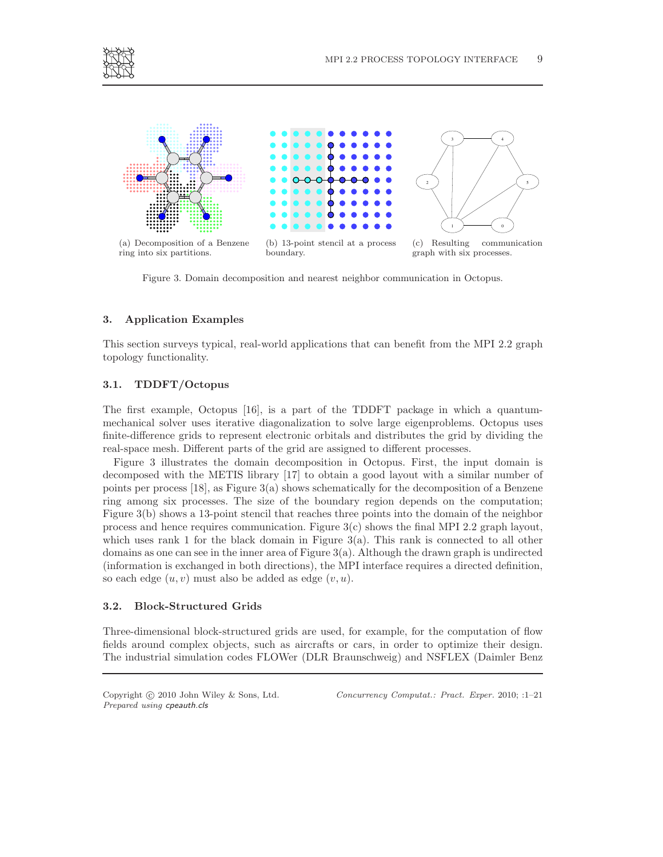





Figure 3. Domain decomposition and nearest neighbor communication in Octopus.

# 3. Application Examples

This section surveys typical, real-world applications that can benefit from the MPI 2.2 graph topology functionality.

#### 3.1. TDDFT/Octopus

The first example, Octopus [16], is a part of the TDDFT package in which a quantummechanical solver uses iterative diagonalization to solve large eigenproblems. Octopus uses finite-difference grids to represent electronic orbitals and distributes the grid by dividing the real-space mesh. Different parts of the grid are assigned to different processes.

Figure 3 illustrates the domain decomposition in Octopus. First, the input domain is decomposed with the METIS library [17] to obtain a good layout with a similar number of points per process [18], as Figure 3(a) shows schematically for the decomposition of a Benzene ring among six processes. The size of the boundary region depends on the computation; Figure 3(b) shows a 13-point stencil that reaches three points into the domain of the neighbor process and hence requires communication. Figure 3(c) shows the final MPI 2.2 graph layout, which uses rank 1 for the black domain in Figure  $3(a)$ . This rank is connected to all other domains as one can see in the inner area of Figure 3(a). Although the drawn graph is undirected (information is exchanged in both directions), the MPI interface requires a directed definition, so each edge  $(u, v)$  must also be added as edge  $(v, u)$ .

# 3.2. Block-Structured Grids

Three-dimensional block-structured grids are used, for example, for the computation of flow fields around complex objects, such as aircrafts or cars, in order to optimize their design. The industrial simulation codes FLOWer (DLR Braunschweig) and NSFLEX (Daimler Benz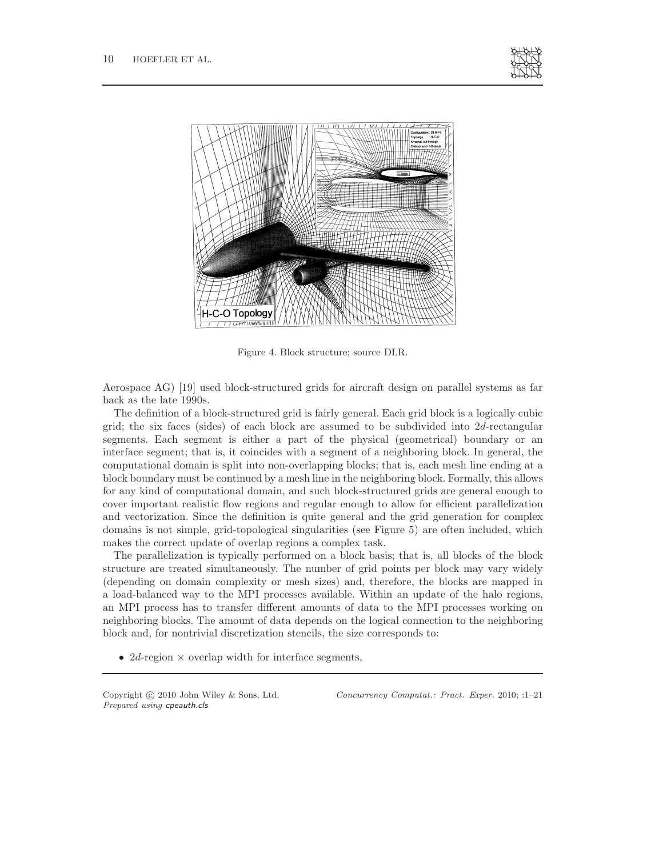



Figure 4. Block structure; source DLR.

Aerospace AG) [19] used block-structured grids for aircraft design on parallel systems as far back as the late 1990s.

The definition of a block-structured grid is fairly general. Each grid block is a logically cubic grid; the six faces (sides) of each block are assumed to be subdivided into  $2d$ -rectangular segments. Each segment is either a part of the physical (geometrical) boundary or an interface segment; that is, it coincides with a segment of a neighboring block. In general, the computational domain is split into non-overlapping blocks; that is, each mesh line ending at a block boundary must be continued by a mesh line in the neighboring block. Formally, this allows for any kind of computational domain, and such block-structured grids are general enough to cover important realistic flow regions and regular enough to allow for efficient parallelization and vectorization. Since the definition is quite general and the grid generation for complex domains is not simple, grid-topological singularities (see Figure 5) are often included, which makes the correct update of overlap regions a complex task.

The parallelization is typically performed on a block basis; that is, all blocks of the block structure are treated simultaneously. The number of grid points per block may vary widely (depending on domain complexity or mesh sizes) and, therefore, the blocks are mapped in a load-balanced way to the MPI processes available. Within an update of the halo regions, an MPI process has to transfer different amounts of data to the MPI processes working on neighboring blocks. The amount of data depends on the logical connection to the neighboring block and, for nontrivial discretization stencils, the size corresponds to:

• 2*d*-region  $\times$  overlap width for interface segments,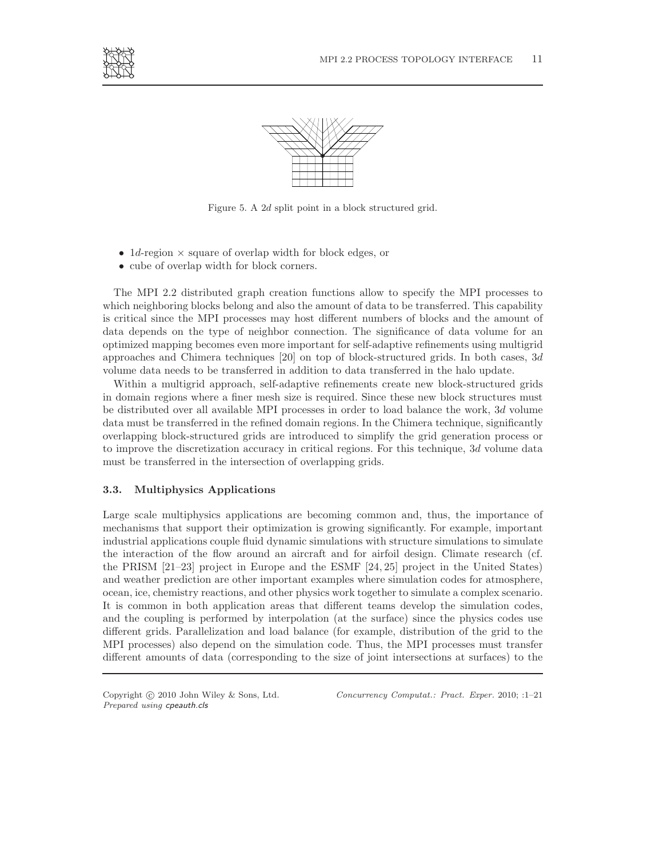



Figure 5. A 2d split point in a block structured grid.

- 1*d*-region  $\times$  square of overlap width for block edges, or
- cube of overlap width for block corners.

The MPI 2.2 distributed graph creation functions allow to specify the MPI processes to which neighboring blocks belong and also the amount of data to be transferred. This capability is critical since the MPI processes may host different numbers of blocks and the amount of data depends on the type of neighbor connection. The significance of data volume for an optimized mapping becomes even more important for self-adaptive refinements using multigrid approaches and Chimera techniques [20] on top of block-structured grids. In both cases, 3d volume data needs to be transferred in addition to data transferred in the halo update.

Within a multigrid approach, self-adaptive refinements create new block-structured grids in domain regions where a finer mesh size is required. Since these new block structures must be distributed over all available MPI processes in order to load balance the work, 3d volume data must be transferred in the refined domain regions. In the Chimera technique, significantly overlapping block-structured grids are introduced to simplify the grid generation process or to improve the discretization accuracy in critical regions. For this technique, 3d volume data must be transferred in the intersection of overlapping grids.

#### 3.3. Multiphysics Applications

Large scale multiphysics applications are becoming common and, thus, the importance of mechanisms that support their optimization is growing significantly. For example, important industrial applications couple fluid dynamic simulations with structure simulations to simulate the interaction of the flow around an aircraft and for airfoil design. Climate research (cf. the PRISM [21–23] project in Europe and the ESMF [24, 25] project in the United States) and weather prediction are other important examples where simulation codes for atmosphere, ocean, ice, chemistry reactions, and other physics work together to simulate a complex scenario. It is common in both application areas that different teams develop the simulation codes, and the coupling is performed by interpolation (at the surface) since the physics codes use different grids. Parallelization and load balance (for example, distribution of the grid to the MPI processes) also depend on the simulation code. Thus, the MPI processes must transfer different amounts of data (corresponding to the size of joint intersections at surfaces) to the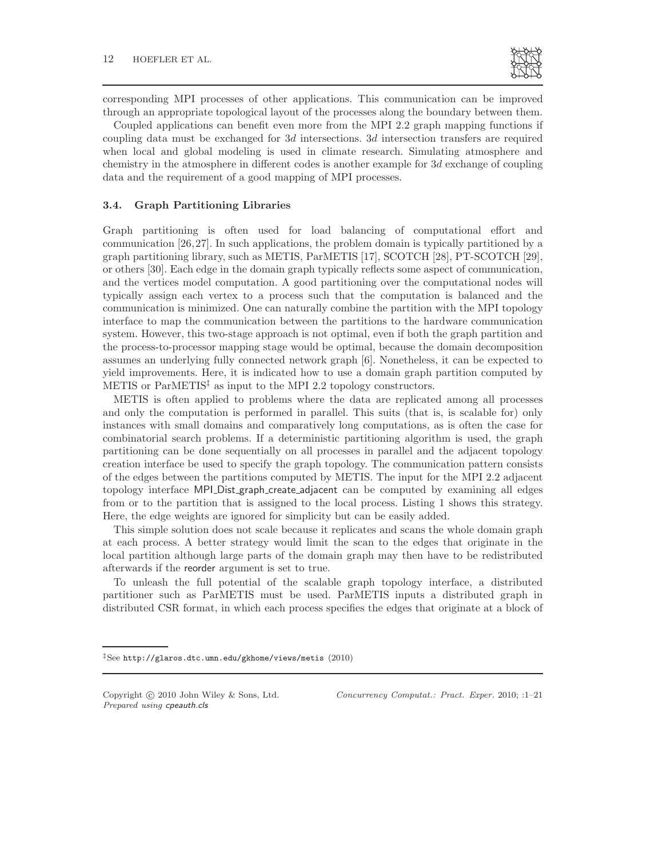

corresponding MPI processes of other applications. This communication can be improved through an appropriate topological layout of the processes along the boundary between them.

Coupled applications can benefit even more from the MPI 2.2 graph mapping functions if coupling data must be exchanged for 3d intersections. 3d intersection transfers are required when local and global modeling is used in climate research. Simulating atmosphere and chemistry in the atmosphere in different codes is another example for 3d exchange of coupling data and the requirement of a good mapping of MPI processes.

#### 3.4. Graph Partitioning Libraries

Graph partitioning is often used for load balancing of computational effort and communication [26,27]. In such applications, the problem domain is typically partitioned by a graph partitioning library, such as METIS, ParMETIS [17], SCOTCH [28], PT-SCOTCH [29], or others [30]. Each edge in the domain graph typically reflects some aspect of communication, and the vertices model computation. A good partitioning over the computational nodes will typically assign each vertex to a process such that the computation is balanced and the communication is minimized. One can naturally combine the partition with the MPI topology interface to map the communication between the partitions to the hardware communication system. However, this two-stage approach is not optimal, even if both the graph partition and the process-to-processor mapping stage would be optimal, because the domain decomposition assumes an underlying fully connected network graph [6]. Nonetheless, it can be expected to yield improvements. Here, it is indicated how to use a domain graph partition computed by METIS or ParMETIS<sup> $‡$ </sup> as input to the MPI 2.2 topology constructors.

METIS is often applied to problems where the data are replicated among all processes and only the computation is performed in parallel. This suits (that is, is scalable for) only instances with small domains and comparatively long computations, as is often the case for combinatorial search problems. If a deterministic partitioning algorithm is used, the graph partitioning can be done sequentially on all processes in parallel and the adjacent topology creation interface be used to specify the graph topology. The communication pattern consists of the edges between the partitions computed by METIS. The input for the MPI 2.2 adjacent topology interface MPI Dist graph create adjacent can be computed by examining all edges from or to the partition that is assigned to the local process. Listing 1 shows this strategy. Here, the edge weights are ignored for simplicity but can be easily added.

This simple solution does not scale because it replicates and scans the whole domain graph at each process. A better strategy would limit the scan to the edges that originate in the local partition although large parts of the domain graph may then have to be redistributed afterwards if the reorder argument is set to true.

To unleash the full potential of the scalable graph topology interface, a distributed partitioner such as ParMETIS must be used. ParMETIS inputs a distributed graph in distributed CSR format, in which each process specifies the edges that originate at a block of

Prepared using cpeauth.cls

<sup>‡</sup>See http://glaros.dtc.umn.edu/gkhome/views/metis (2010)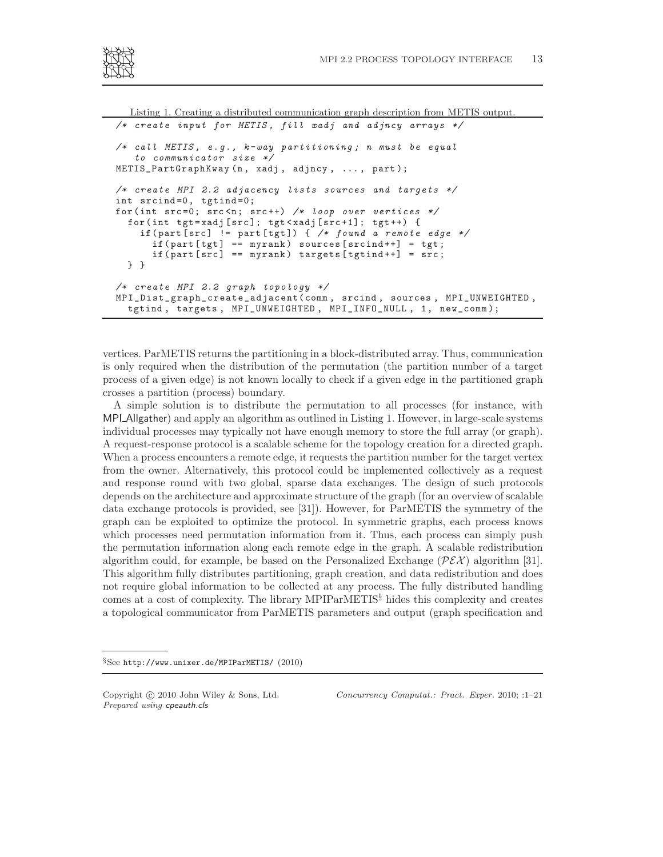

```
Listing 1. Creating a distributed communication graph description from METIS output.
/* create input for METIS, fill xadj and adjncy arrays *//* call METIS, e.g., k-way partitioning; n must be equal
   to communicator size */
METIS_PartGraphKway (n, xadj, adjncy, ..., part);
/* create MPI 2.2 adjacency lists sources and targets */
int srcind =0 , tgtind =0;
for (int src=0; src <n; src ++) /* loop over vertices */
  for ( int tgt = xadj [ src ]; tgt < xadj [ src +1]; tgt ++) {
    if (part [src] != part [tgt]) { /* found a remote edge */
      if (part [tgt] == myrank) sources [srcind++] = tgt;
      if (part [src] == myrank) targets [tgtind++] = src;} }
/* create MPI 2.2 graph topology */
MPI_Dist_graph_create_adjacent( comm , srcind , sources , MPI_UNWEIGHTED ,
  tgtind , targets , MPI_UNWEIGHTED , MPI_INFO_NULL , 1, new_comm );
```
vertices. ParMETIS returns the partitioning in a block-distributed array. Thus, communication is only required when the distribution of the permutation (the partition number of a target process of a given edge) is not known locally to check if a given edge in the partitioned graph crosses a partition (process) boundary.

A simple solution is to distribute the permutation to all processes (for instance, with MPI Allgather) and apply an algorithm as outlined in Listing 1. However, in large-scale systems individual processes may typically not have enough memory to store the full array (or graph). A request-response protocol is a scalable scheme for the topology creation for a directed graph. When a process encounters a remote edge, it requests the partition number for the target vertex from the owner. Alternatively, this protocol could be implemented collectively as a request and response round with two global, sparse data exchanges. The design of such protocols depends on the architecture and approximate structure of the graph (for an overview of scalable data exchange protocols is provided, see [31]). However, for ParMETIS the symmetry of the graph can be exploited to optimize the protocol. In symmetric graphs, each process knows which processes need permutation information from it. Thus, each process can simply push the permutation information along each remote edge in the graph. A scalable redistribution algorithm could, for example, be based on the Personalized Exchange ( $\mathcal{P}\mathcal{E}\mathcal{X}$ ) algorithm [31]. This algorithm fully distributes partitioning, graph creation, and data redistribution and does not require global information to be collected at any process. The fully distributed handling comes at a cost of complexity. The library MPIParMETIS§ hides this complexity and creates a topological communicator from ParMETIS parameters and output (graph specification and

§See http://www.unixer.de/MPIParMETIS/ (2010)

Prepared using cpeauth.cls

Copyright © 2010 John Wiley & Sons, Ltd. Concurrency Computat.: Pract. Exper. 2010; :1-21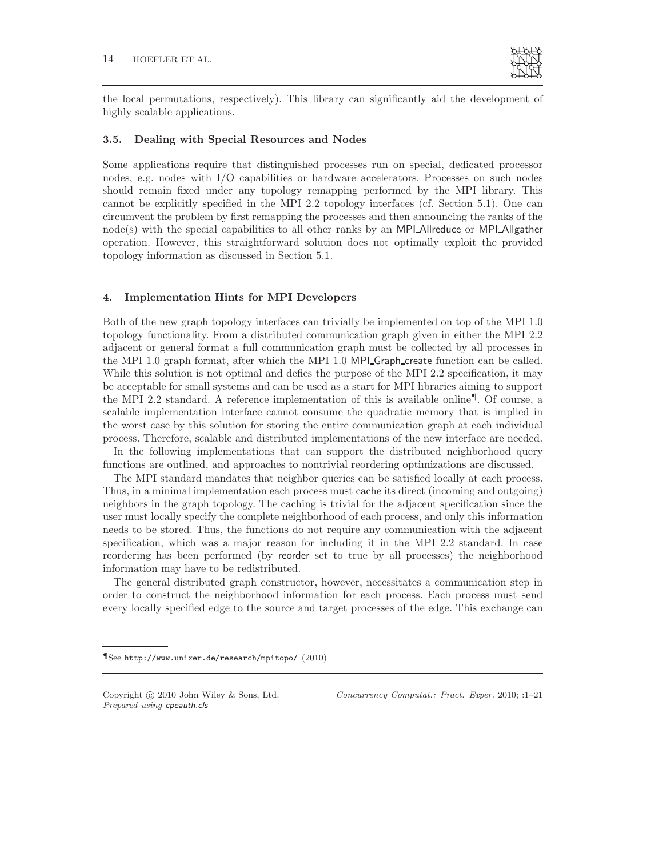

the local permutations, respectively). This library can significantly aid the development of highly scalable applications.

#### 3.5. Dealing with Special Resources and Nodes

Some applications require that distinguished processes run on special, dedicated processor nodes, e.g. nodes with I/O capabilities or hardware accelerators. Processes on such nodes should remain fixed under any topology remapping performed by the MPI library. This cannot be explicitly specified in the MPI 2.2 topology interfaces (cf. Section 5.1). One can circumvent the problem by first remapping the processes and then announcing the ranks of the  $node(s)$  with the special capabilities to all other ranks by an MPI Allreduce or MPI Allgather operation. However, this straightforward solution does not optimally exploit the provided topology information as discussed in Section 5.1.

#### 4. Implementation Hints for MPI Developers

Both of the new graph topology interfaces can trivially be implemented on top of the MPI 1.0 topology functionality. From a distributed communication graph given in either the MPI 2.2 adjacent or general format a full communication graph must be collected by all processes in the MPI 1.0 graph format, after which the MPI 1.0 MPI Graph create function can be called. While this solution is not optimal and defies the purpose of the MPI 2.2 specification, it may be acceptable for small systems and can be used as a start for MPI libraries aiming to support the MPI 2.2 standard. A reference implementation of this is available online¶. Of course, a scalable implementation interface cannot consume the quadratic memory that is implied in the worst case by this solution for storing the entire communication graph at each individual process. Therefore, scalable and distributed implementations of the new interface are needed.

In the following implementations that can support the distributed neighborhood query functions are outlined, and approaches to nontrivial reordering optimizations are discussed.

The MPI standard mandates that neighbor queries can be satisfied locally at each process. Thus, in a minimal implementation each process must cache its direct (incoming and outgoing) neighbors in the graph topology. The caching is trivial for the adjacent specification since the user must locally specify the complete neighborhood of each process, and only this information needs to be stored. Thus, the functions do not require any communication with the adjacent specification, which was a major reason for including it in the MPI 2.2 standard. In case reordering has been performed (by reorder set to true by all processes) the neighborhood information may have to be redistributed.

The general distributed graph constructor, however, necessitates a communication step in order to construct the neighborhood information for each process. Each process must send every locally specified edge to the source and target processes of the edge. This exchange can

<sup>¶</sup>See http://www.unixer.de/research/mpitopo/ (2010)

Copyright © 2010 John Wiley & Sons, Ltd. Concurrency Computat.: Pract. Exper. 2010; :1-21 Prepared using cpeauth.cls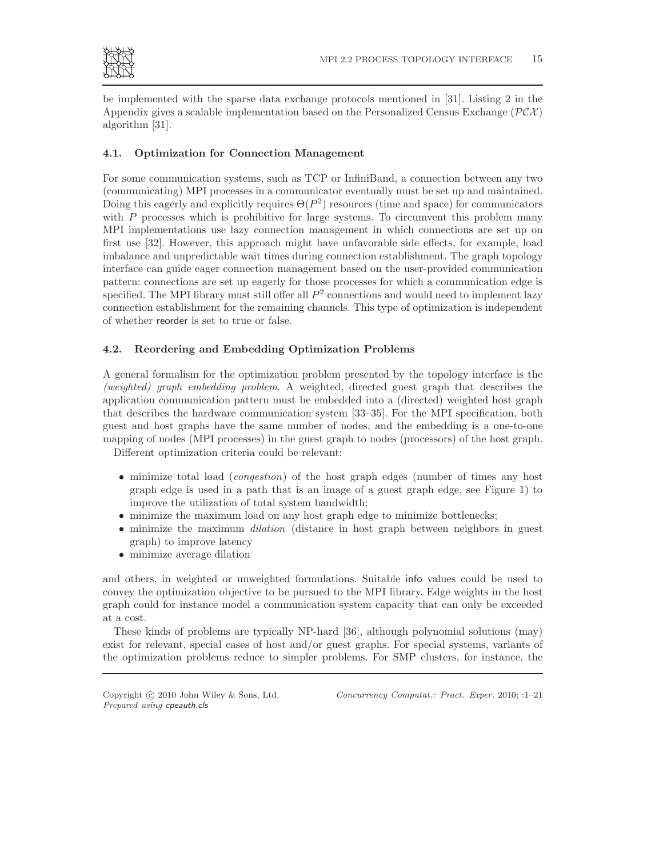

be implemented with the sparse data exchange protocols mentioned in [31]. Listing 2 in the Appendix gives a scalable implementation based on the Personalized Census Exchange ( $\mathcal{PCX}$ ) algorithm [31].

# 4.1. Optimization for Connection Management

For some communication systems, such as TCP or InfiniBand, a connection between any two (communicating) MPI processes in a communicator eventually must be set up and maintained. Doing this eagerly and explicitly requires  $\Theta(P^2)$  resources (time and space) for communicators with  $P$  processes which is prohibitive for large systems. To circumvent this problem many MPI implementations use lazy connection management in which connections are set up on first use [32]. However, this approach might have unfavorable side effects, for example, load imbalance and unpredictable wait times during connection establishment. The graph topology interface can guide eager connection management based on the user-provided communication pattern: connections are set up eagerly for those processes for which a communication edge is specified. The MPI library must still offer all  $P<sup>2</sup>$  connections and would need to implement lazy connection establishment for the remaining channels. This type of optimization is independent of whether reorder is set to true or false.

# 4.2. Reordering and Embedding Optimization Problems

A general formalism for the optimization problem presented by the topology interface is the (weighted) graph embedding problem. A weighted, directed guest graph that describes the application communication pattern must be embedded into a (directed) weighted host graph that describes the hardware communication system [33–35]. For the MPI specification, both guest and host graphs have the same number of nodes, and the embedding is a one-to-one mapping of nodes (MPI processes) in the guest graph to nodes (processors) of the host graph.

Different optimization criteria could be relevant:

- minimize total load (*congestion*) of the host graph edges (number of times any host graph edge is used in a path that is an image of a guest graph edge, see Figure 1) to improve the utilization of total system bandwidth;
- minimize the maximum load on any host graph edge to minimize bottlenecks;
- minimize the maximum *dilation* (distance in host graph between neighbors in guest graph) to improve latency
- minimize average dilation

and others, in weighted or unweighted formulations. Suitable info values could be used to convey the optimization objective to be pursued to the MPI library. Edge weights in the host graph could for instance model a communication system capacity that can only be exceeded at a cost.

These kinds of problems are typically NP-hard [36], although polynomial solutions (may) exist for relevant, special cases of host and/or guest graphs. For special systems, variants of the optimization problems reduce to simpler problems. For SMP clusters, for instance, the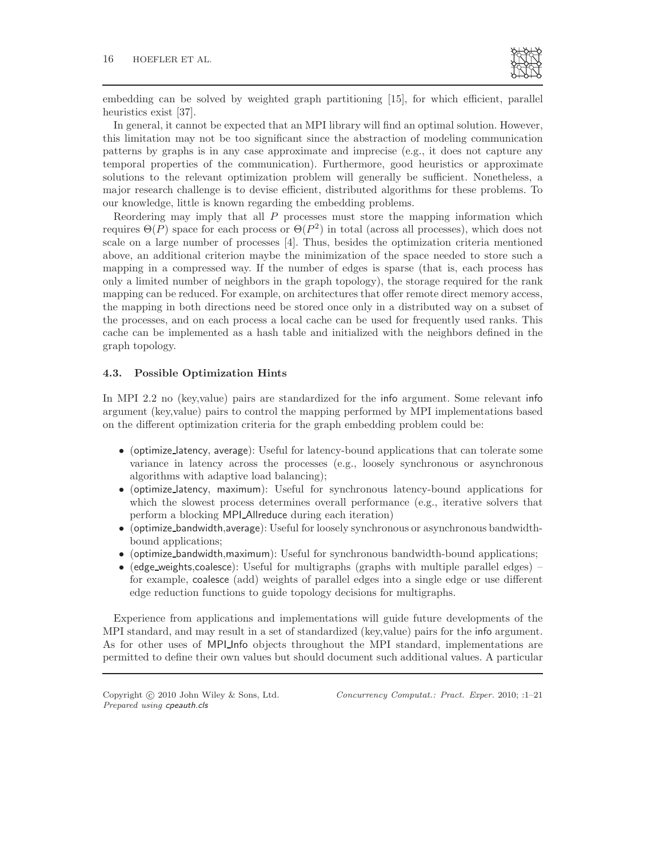

embedding can be solved by weighted graph partitioning [15], for which efficient, parallel heuristics exist [37].

In general, it cannot be expected that an MPI library will find an optimal solution. However, this limitation may not be too significant since the abstraction of modeling communication patterns by graphs is in any case approximate and imprecise (e.g., it does not capture any temporal properties of the communication). Furthermore, good heuristics or approximate solutions to the relevant optimization problem will generally be sufficient. Nonetheless, a major research challenge is to devise efficient, distributed algorithms for these problems. To our knowledge, little is known regarding the embedding problems.

Reordering may imply that all P processes must store the mapping information which requires  $\Theta(P)$  space for each process or  $\Theta(P^2)$  in total (across all processes), which does not scale on a large number of processes [4]. Thus, besides the optimization criteria mentioned above, an additional criterion maybe the minimization of the space needed to store such a mapping in a compressed way. If the number of edges is sparse (that is, each process has only a limited number of neighbors in the graph topology), the storage required for the rank mapping can be reduced. For example, on architectures that offer remote direct memory access, the mapping in both directions need be stored once only in a distributed way on a subset of the processes, and on each process a local cache can be used for frequently used ranks. This cache can be implemented as a hash table and initialized with the neighbors defined in the graph topology.

#### 4.3. Possible Optimization Hints

In MPI 2.2 no (key,value) pairs are standardized for the info argument. Some relevant info argument (key,value) pairs to control the mapping performed by MPI implementations based on the different optimization criteria for the graph embedding problem could be:

- (optimize latency, average): Useful for latency-bound applications that can tolerate some variance in latency across the processes (e.g., loosely synchronous or asynchronous algorithms with adaptive load balancing);
- (optimize latency, maximum): Useful for synchronous latency-bound applications for which the slowest process determines overall performance (e.g., iterative solvers that perform a blocking MPI Allreduce during each iteration)
- (optimize bandwidth,average): Useful for loosely synchronous or asynchronous bandwidthbound applications;
- (optimize bandwidth,maximum): Useful for synchronous bandwidth-bound applications;
- (edge weights, coalesce): Useful for multigraphs (graphs with multiple parallel edges) for example, coalesce (add) weights of parallel edges into a single edge or use different edge reduction functions to guide topology decisions for multigraphs.

Experience from applications and implementations will guide future developments of the MPI standard, and may result in a set of standardized (key, value) pairs for the info argument. As for other uses of MPL Info objects throughout the MPI standard, implementations are permitted to define their own values but should document such additional values. A particular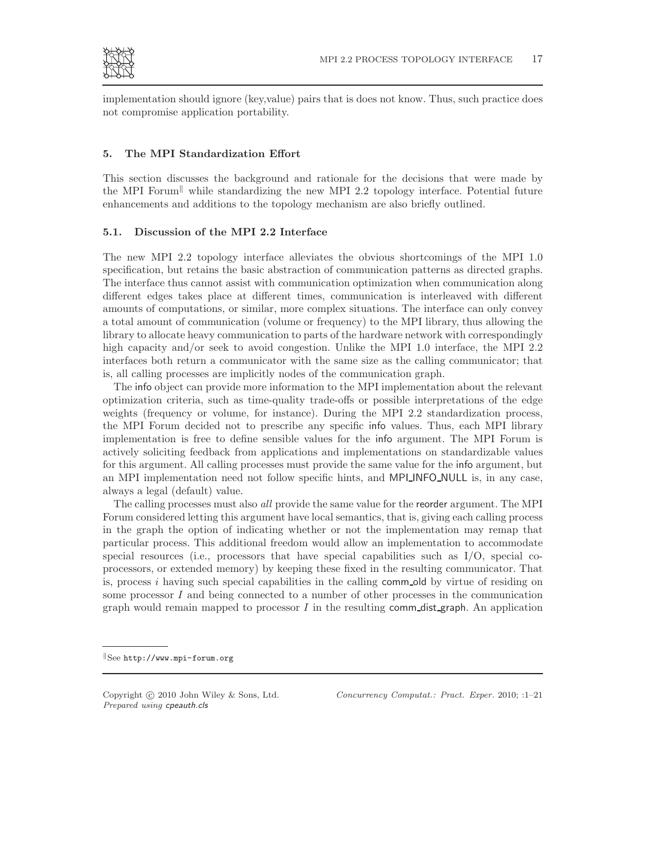

implementation should ignore (key,value) pairs that is does not know. Thus, such practice does not compromise application portability.

# 5. The MPI Standardization Effort

This section discusses the background and rationale for the decisions that were made by the MPI Forum<sup>||</sup> while standardizing the new MPI 2.2 topology interface. Potential future enhancements and additions to the topology mechanism are also briefly outlined.

#### 5.1. Discussion of the MPI 2.2 Interface

The new MPI 2.2 topology interface alleviates the obvious shortcomings of the MPI 1.0 specification, but retains the basic abstraction of communication patterns as directed graphs. The interface thus cannot assist with communication optimization when communication along different edges takes place at different times, communication is interleaved with different amounts of computations, or similar, more complex situations. The interface can only convey a total amount of communication (volume or frequency) to the MPI library, thus allowing the library to allocate heavy communication to parts of the hardware network with correspondingly high capacity and/or seek to avoid congestion. Unlike the MPI 1.0 interface, the MPI 2.2 interfaces both return a communicator with the same size as the calling communicator; that is, all calling processes are implicitly nodes of the communication graph.

The info object can provide more information to the MPI implementation about the relevant optimization criteria, such as time-quality trade-offs or possible interpretations of the edge weights (frequency or volume, for instance). During the MPI 2.2 standardization process, the MPI Forum decided not to prescribe any specific info values. Thus, each MPI library implementation is free to define sensible values for the info argument. The MPI Forum is actively soliciting feedback from applications and implementations on standardizable values for this argument. All calling processes must provide the same value for the info argument, but an MPI implementation need not follow specific hints, and MPI INFO NULL is, in any case, always a legal (default) value.

The calling processes must also all provide the same value for the reorder argument. The MPI Forum considered letting this argument have local semantics, that is, giving each calling process in the graph the option of indicating whether or not the implementation may remap that particular process. This additional freedom would allow an implementation to accommodate special resources (i.e., processors that have special capabilities such as  $I/O$ , special coprocessors, or extended memory) by keeping these fixed in the resulting communicator. That is, process  $i$  having such special capabilities in the calling comm old by virtue of residing on some processor  $I$  and being connected to a number of other processes in the communication graph would remain mapped to processor  $I$  in the resulting comm dist graph. An application

 $\mathbb{R}$ See http://www.mpi-forum.org

Copyright © 2010 John Wiley & Sons, Ltd. Concurrency Computat.: Pract. Exper. 2010; :1-21 Prepared using cpeauth.cls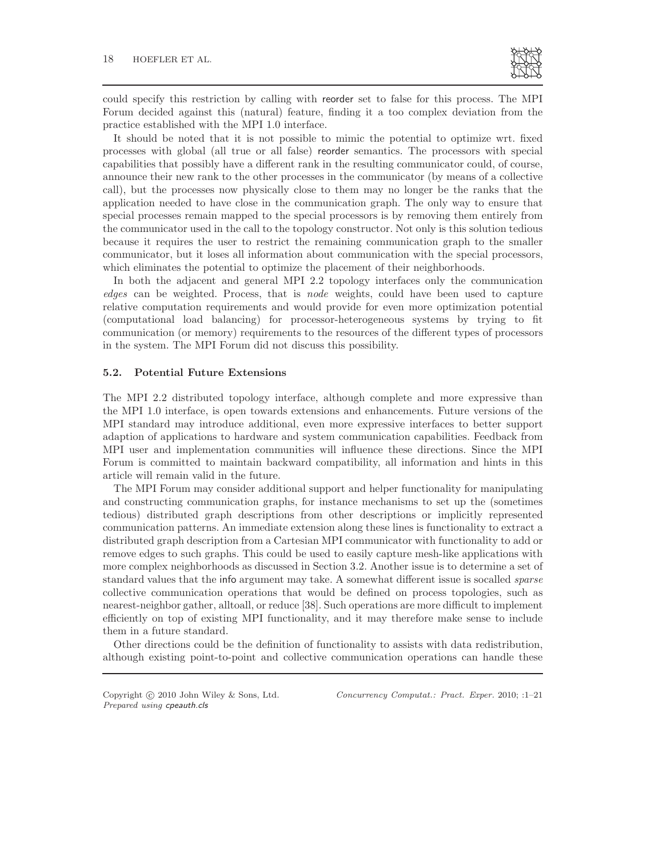

could specify this restriction by calling with reorder set to false for this process. The MPI Forum decided against this (natural) feature, finding it a too complex deviation from the practice established with the MPI 1.0 interface.

It should be noted that it is not possible to mimic the potential to optimize wrt. fixed processes with global (all true or all false) reorder semantics. The processors with special capabilities that possibly have a different rank in the resulting communicator could, of course, announce their new rank to the other processes in the communicator (by means of a collective call), but the processes now physically close to them may no longer be the ranks that the application needed to have close in the communication graph. The only way to ensure that special processes remain mapped to the special processors is by removing them entirely from the communicator used in the call to the topology constructor. Not only is this solution tedious because it requires the user to restrict the remaining communication graph to the smaller communicator, but it loses all information about communication with the special processors, which eliminates the potential to optimize the placement of their neighborhoods.

In both the adjacent and general MPI 2.2 topology interfaces only the communication edges can be weighted. Process, that is node weights, could have been used to capture relative computation requirements and would provide for even more optimization potential (computational load balancing) for processor-heterogeneous systems by trying to fit communication (or memory) requirements to the resources of the different types of processors in the system. The MPI Forum did not discuss this possibility.

#### 5.2. Potential Future Extensions

The MPI 2.2 distributed topology interface, although complete and more expressive than the MPI 1.0 interface, is open towards extensions and enhancements. Future versions of the MPI standard may introduce additional, even more expressive interfaces to better support adaption of applications to hardware and system communication capabilities. Feedback from MPI user and implementation communities will influence these directions. Since the MPI Forum is committed to maintain backward compatibility, all information and hints in this article will remain valid in the future.

The MPI Forum may consider additional support and helper functionality for manipulating and constructing communication graphs, for instance mechanisms to set up the (sometimes tedious) distributed graph descriptions from other descriptions or implicitly represented communication patterns. An immediate extension along these lines is functionality to extract a distributed graph description from a Cartesian MPI communicator with functionality to add or remove edges to such graphs. This could be used to easily capture mesh-like applications with more complex neighborhoods as discussed in Section 3.2. Another issue is to determine a set of standard values that the info argument may take. A somewhat different issue is socalled sparse collective communication operations that would be defined on process topologies, such as nearest-neighbor gather, alltoall, or reduce [38]. Such operations are more difficult to implement efficiently on top of existing MPI functionality, and it may therefore make sense to include them in a future standard.

Other directions could be the definition of functionality to assists with data redistribution, although existing point-to-point and collective communication operations can handle these

Prepared using cpeauth.cls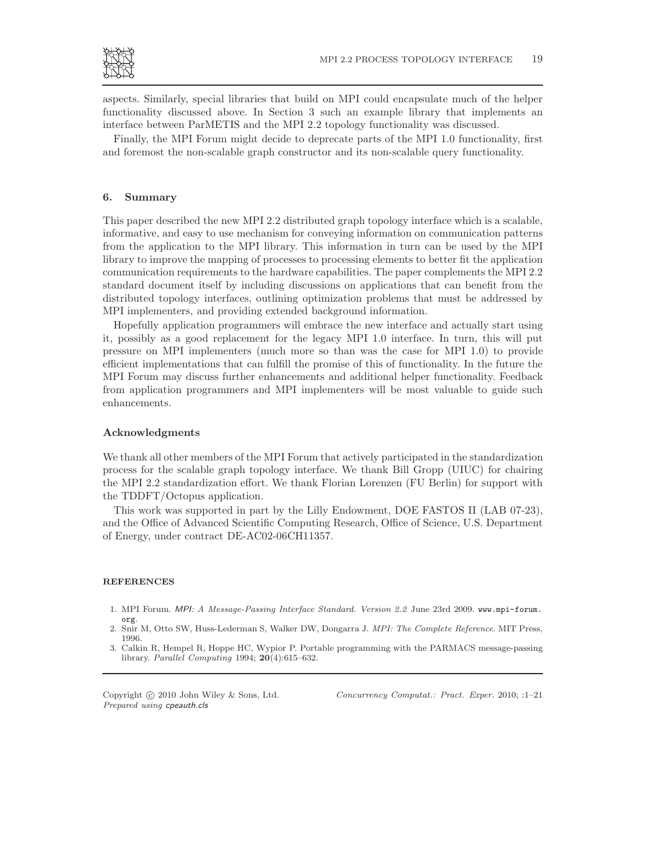

aspects. Similarly, special libraries that build on MPI could encapsulate much of the helper functionality discussed above. In Section 3 such an example library that implements an interface between ParMETIS and the MPI 2.2 topology functionality was discussed.

Finally, the MPI Forum might decide to deprecate parts of the MPI 1.0 functionality, first and foremost the non-scalable graph constructor and its non-scalable query functionality.

#### 6. Summary

This paper described the new MPI 2.2 distributed graph topology interface which is a scalable, informative, and easy to use mechanism for conveying information on communication patterns from the application to the MPI library. This information in turn can be used by the MPI library to improve the mapping of processes to processing elements to better fit the application communication requirements to the hardware capabilities. The paper complements the MPI 2.2 standard document itself by including discussions on applications that can benefit from the distributed topology interfaces, outlining optimization problems that must be addressed by MPI implementers, and providing extended background information.

Hopefully application programmers will embrace the new interface and actually start using it, possibly as a good replacement for the legacy MPI 1.0 interface. In turn, this will put pressure on MPI implementers (much more so than was the case for MPI 1.0) to provide efficient implementations that can fulfill the promise of this of functionality. In the future the MPI Forum may discuss further enhancements and additional helper functionality. Feedback from application programmers and MPI implementers will be most valuable to guide such enhancements.

#### Acknowledgments

We thank all other members of the MPI Forum that actively participated in the standardization process for the scalable graph topology interface. We thank Bill Gropp (UIUC) for chairing the MPI 2.2 standardization effort. We thank Florian Lorenzen (FU Berlin) for support with the TDDFT/Octopus application.

This work was supported in part by the Lilly Endowment, DOE FASTOS II (LAB 07-23), and the Office of Advanced Scientific Computing Research, Office of Science, U.S. Department of Energy, under contract DE-AC02-06CH11357.

#### REFERENCES

- 1. MPI Forum. MPI: A Message-Passing Interface Standard. Version 2.2 June 23rd 2009. www.mpi-forum. org.
- 2. Snir M, Otto SW, Huss-Lederman S, Walker DW, Dongarra J. MPI: The Complete Reference. MIT Press, 1996.
- 3. Calkin R, Hempel R, Hoppe HC, Wypior P. Portable programming with the PARMACS message-passing library. Parallel Computing 1994; 20(4):615–632.

Prepared using cpeauth.cls

Copyright © 2010 John Wiley & Sons, Ltd. Concurrency Computat.: Pract. Exper. 2010; :1-21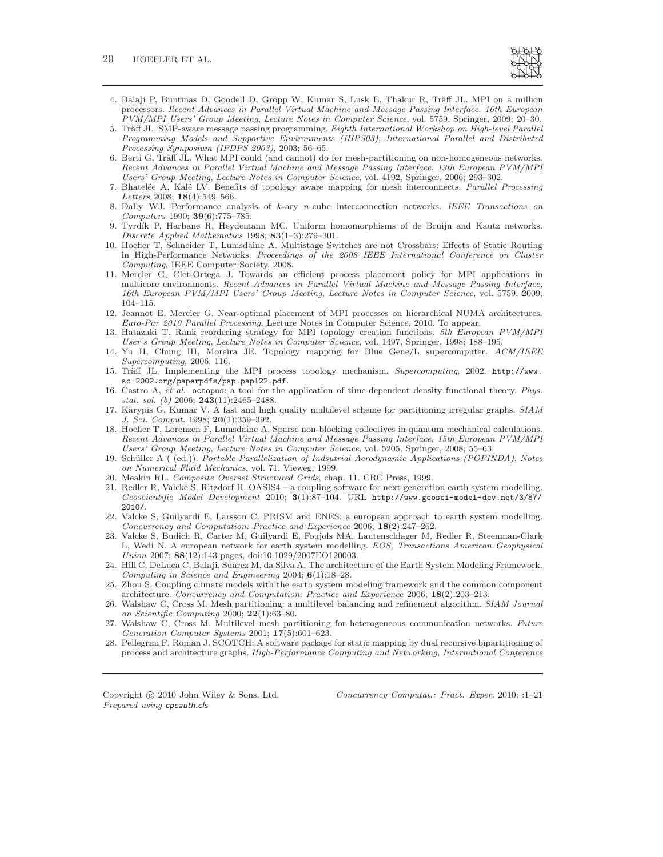

- 4. Balaji P, Buntinas D, Goodell D, Gropp W, Kumar S, Lusk E, Thakur R, Träff JL. MPI on a million processors. Recent Advances in Parallel Virtual Machine and Message Passing Interface. 16th European PVM/MPI Users' Group Meeting, Lecture Notes in Computer Science, vol. 5759, Springer, 2009; 20–30.
- 5. Träff JL. SMP-aware message passing programming. Eighth International Workshop on High-level Parallel Programming Models and Supportive Environments (HIPS03), International Parallel and Distributed Processing Symposium (IPDPS 2003), 2003; 56–65.
- 6. Berti G, Träff JL. What MPI could (and cannot) do for mesh-partitioning on non-homogeneous networks. Recent Advances in Parallel Virtual Machine and Message Passing Interface. 13th European PVM/MPI Users' Group Meeting, Lecture Notes in Computer Science, vol. 4192, Springer, 2006; 293–302.
- 7. Bhatelée A, Kalé LV. Benefits of topology aware mapping for mesh interconnects. Parallel Processing Letters 2008; 18(4):549–566.
- 8. Dally WJ. Performance analysis of k-ary n-cube interconnection networks. IEEE Transactions on Computers 1990; 39(6):775–785.
- 9. Tvrd´ık P, Harbane R, Heydemann MC. Uniform homomorphisms of de Bruijn and Kautz networks. Discrete Applied Mathematics 1998;  $83(1-3):279-301$ .
- 10. Hoefler T, Schneider T, Lumsdaine A. Multistage Switches are not Crossbars: Effects of Static Routing in High-Performance Networks. Proceedings of the 2008 IEEE International Conference on Cluster Computing, IEEE Computer Society, 2008.
- 11. Mercier G, Clet-Ortega J. Towards an efficient process placement policy for MPI applications in multicore environments. Recent Advances in Parallel Virtual Machine and Message Passing Interface, 16th European PVM/MPI Users' Group Meeting, Lecture Notes in Computer Science, vol. 5759, 2009; 104–115.
- 12. Jeannot E, Mercier G. Near-optimal placement of MPI processes on hierarchical NUMA architectures. Euro-Par 2010 Parallel Processing, Lecture Notes in Computer Science, 2010. To appear.
- 13. Hatazaki T. Rank reordering strategy for MPI topology creation functions. 5th European PVM/MPI User's Group Meeting, Lecture Notes in Computer Science, vol. 1497, Springer, 1998; 188–195.
- 14. Yu H, Chung IH, Moreira JE. Topology mapping for Blue Gene/L supercomputer. ACM/IEEE Supercomputing, 2006; 116.
- 15. Träff JL. Implementing the MPI process topology mechanism. Supercomputing, 2002. http://www. sc-2002.org/paperpdfs/pap.pap122.pdf.
- 16. Castro A, et al.. octopus: a tool for the application of time-dependent density functional theory. Phys. stat. sol. (b) 2006; 243(11):2465–2488.
- 17. Karypis G, Kumar V. A fast and high quality multilevel scheme for partitioning irregular graphs. SIAM J. Sci. Comput. 1998; 20(1):359–392.
- 18. Hoefler T, Lorenzen F, Lumsdaine A. Sparse non-blocking collectives in quantum mechanical calculations. Recent Advances in Parallel Virtual Machine and Message Passing Interface, 15th European PVM/MPI Users' Group Meeting, Lecture Notes in Computer Science, vol. 5205, Springer, 2008; 55–63.
- 19. Schüller A ( (ed.)). Portable Parallelization of Indsutrial Aerodynamic Applications (POPINDA), Notes on Numerical Fluid Mechanics, vol. 71. Vieweg, 1999.
- 20. Meakin RL. Composite Overset Structured Grids, chap. 11. CRC Press, 1999.
- 21. Redler R, Valcke S, Ritzdorf H. OASIS4 a coupling software for next generation earth system modelling. Geoscientific Model Development 2010; 3(1):87–104. URL http://www.geosci-model-dev.net/3/87/ 2010/.
- 22. Valcke S, Guilyardi E, Larsson C. PRISM and ENES: a european approach to earth system modelling. Concurrency and Computation: Practice and Experience 2006; 18(2):247–262.
- 23. Valcke S, Budich R, Carter M, Guilyardi E, Foujols MA, Lautenschlager M, Redler R, Steenman-Clark L, Wedi N. A european network for earth system modelling. EOS, Transactions American Geophysical Union 2007; 88(12):143 pages, doi:10.1029/2007EO120003.
- 24. Hill C, DeLuca C, Balaji, Suarez M, da Silva A. The architecture of the Earth System Modeling Framework. Computing in Science and Engineering 2004; 6(1):18–28.
- 25. Zhou S. Coupling climate models with the earth system modeling framework and the common component architecture. Concurrency and Computation: Practice and Experience 2006; 18(2):203–213.
- 26. Walshaw C, Cross M. Mesh partitioning: a multilevel balancing and refinement algorithm. SIAM Journal on Scientific Computing 2000; 22(1):63–80.
- 27. Walshaw C, Cross M. Multilevel mesh partitioning for heterogeneous communication networks. Future Generation Computer Systems 2001; 17(5):601–623.
- 28. Pellegrini F, Roman J. SCOTCH: A software package for static mapping by dual recursive bipartitioning of process and architecture graphs. High-Performance Computing and Networking, International Conference

Prepared using cpeauth.cls

Copyright c 2010 John Wiley & Sons, Ltd. Concurrency Computat.: Pract. Exper. 2010; :1–21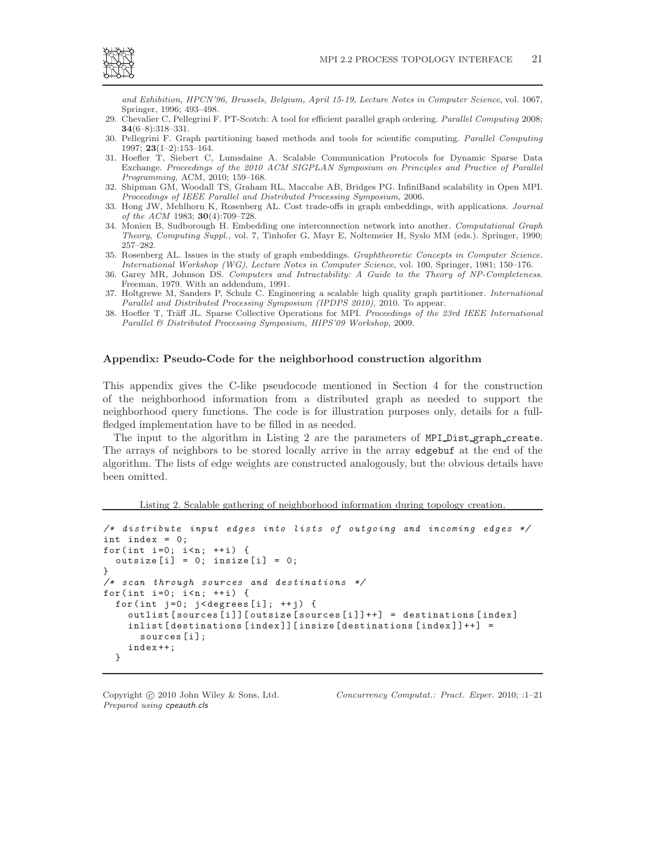

and Exhibition, HPCN'96, Brussels, Belgium, April 15-19, Lecture Notes in Computer Science, vol. 1067, Springer, 1996; 493–498.

- 29. Chevalier C, Pellegrini F. PT-Scotch: A tool for efficient parallel graph ordering. Parallel Computing 2008; 34(6–8):318–331.
- 30. Pellegrini F. Graph partitioning based methods and tools for scientific computing. Parallel Computing 1997; 23(1–2):153–164.
- 31. Hoefler T, Siebert C, Lumsdaine A. Scalable Communication Protocols for Dynamic Sparse Data Exchange. Proceedings of the 2010 ACM SIGPLAN Symposium on Principles and Practice of Parallel Programming, ACM, 2010; 159–168.
- 32. Shipman GM, Woodall TS, Graham RL, Maccabe AB, Bridges PG. InfiniBand scalability in Open MPI. Proceedings of IEEE Parallel and Distributed Processing Symposium, 2006.
- 33. Hong JW, Mehlhorn K, Rosenberg AL. Cost trade-offs in graph embeddings, with applications. Journal of the ACM 1983; 30(4):709–728.
- 34. Monien B, Sudborough H. Embedding one interconnection network into another. Computational Graph Theory, Computing Suppl., vol. 7, Tinhofer G, Mayr E, Noltemeier H, Syslo MM (eds.). Springer, 1990; 257–282.
- 35. Rosenberg AL. Issues in the study of graph embeddings. Graphtheoretic Concepts in Computer Science. International Workshop (WG), Lecture Notes in Computer Science, vol. 100, Springer, 1981; 150–176.
- 36. Garey MR, Johnson DS. Computers and Intractability: A Guide to the Theory of NP-Completeness. Freeman, 1979. With an addendum, 1991.
- 37. Holtgrewe M, Sanders P, Schulz C. Engineering a scalable high quality graph partitioner. International Parallel and Distributed Processing Symposium (IPDPS 2010), 2010. To appear.
- 38. Hoefler T, Träff JL. Sparse Collective Operations for MPI. Proceedings of the 23rd IEEE International Parallel & Distributed Processing Symposium, HIPS'09 Workshop, 2009.

#### Appendix: Pseudo-Code for the neighborhood construction algorithm

This appendix gives the C-like pseudocode mentioned in Section 4 for the construction of the neighborhood information from a distributed graph as needed to support the neighborhood query functions. The code is for illustration purposes only, details for a fullfledged implementation have to be filled in as needed.

The input to the algorithm in Listing 2 are the parameters of MPI Dist graph create. The arrays of neighbors to be stored locally arrive in the array edgebuf at the end of the algorithm. The lists of edge weights are constructed analogously, but the obvious details have been omitted.

Listing 2. Scalable gathering of neighborhood information during topology creation.

```
/* distribute input edges into lists of outgoing and incoming edges */
int index = 0;
for (int i=0; i<n; ++i) {
  outsize [i] = 0; insize [i] = 0;
}
/* scan through sources and destinations */
for (int i=0; i<n; ++i) {
  for (int j=0; j < degrees [i]; ++j) {
    outlist [ sources [i ]][ outsize [ sources [i ]]++] = destinations [ index ]
    inlist [ destinations [ index ]][ insize [ destinations [ index ]]++] =
      sources [i];
    index ++;
  }
```
Prepared using cpeauth.cls

Copyright c 2010 John Wiley & Sons, Ltd. Concurrency Computat.: Pract. Exper. 2010; :1–21